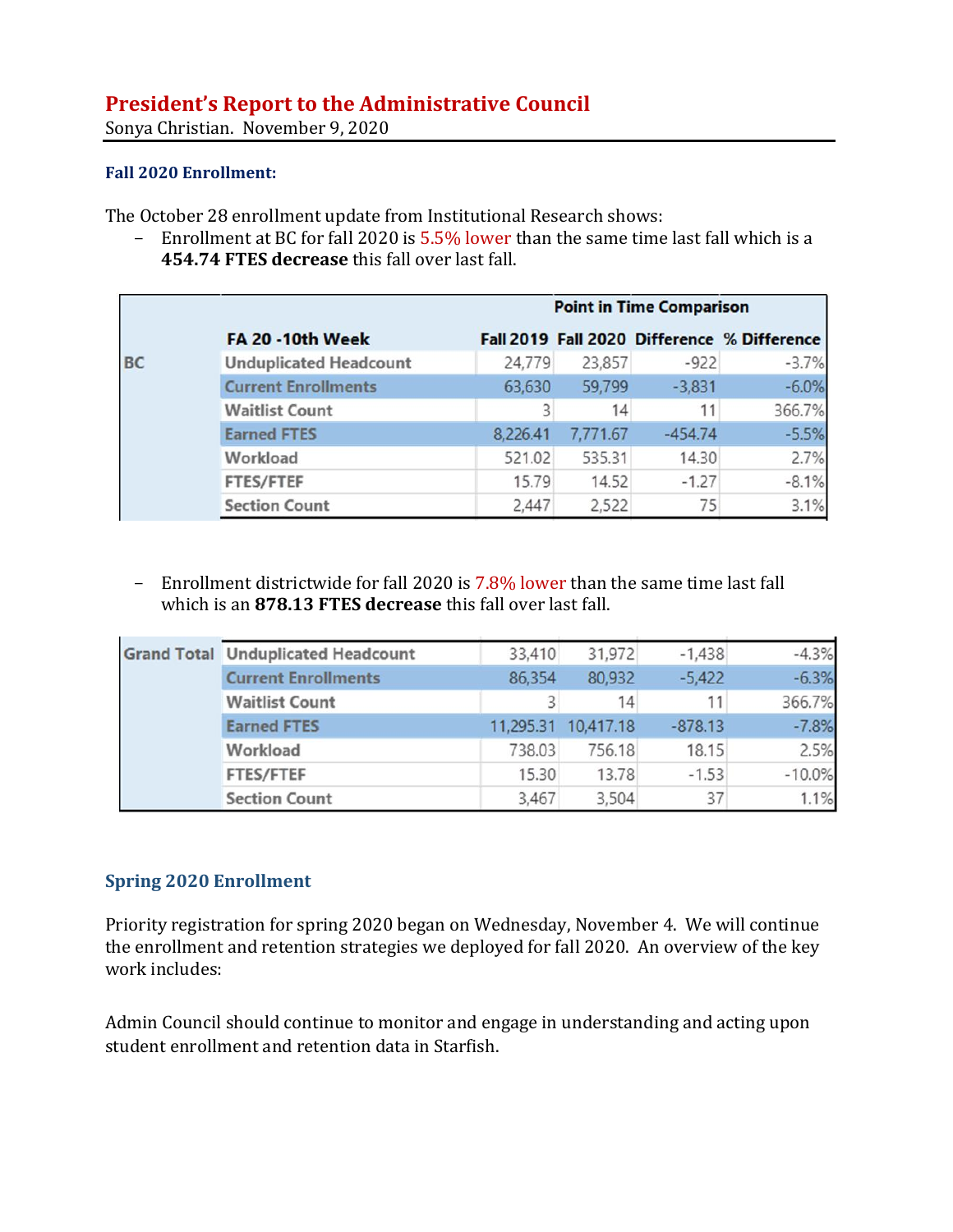# **President's Report to the Administrative Council**

Sonya Christian. November 9, 2020

#### **Fall 2020 Enrollment:**

The October 28 enrollment update from Institutional Research shows:

- Enrollment at BC for fall 2020 is 5.5% lower than the same time last fall which is a **454.74 FTES decrease** this fall over last fall.

|    |                               |          | <b>Point in Time Comparison</b> |           |                                             |  |  |
|----|-------------------------------|----------|---------------------------------|-----------|---------------------------------------------|--|--|
|    | <b>FA 20 -10th Week</b>       |          |                                 |           | Fall 2019 Fall 2020 Difference % Difference |  |  |
| BC | <b>Unduplicated Headcount</b> | 24,779   | 23,857                          | $-922$    | $-3.7%$                                     |  |  |
|    | <b>Current Enrollments</b>    | 63,630   | 59,799                          | $-3,831$  | $-6.0%$                                     |  |  |
|    | <b>Waitlist Count</b>         |          | 14                              | 11        | 366.7%                                      |  |  |
|    | <b>Earned FTES</b>            | 8,226.41 | 7,771.67                        | $-454.74$ | $-5.5%$                                     |  |  |
|    | Workload                      | 521.02   | 535.31                          | 14.30     | 2.7%                                        |  |  |
|    | <b>FTES/FTEF</b>              | 15.79    | 14.52                           | $-1.27$   | $-8.1%$                                     |  |  |
|    | <b>Section Count</b>          | 2,447    | 2,522                           | 75        | 3.1%                                        |  |  |

- Enrollment districtwide for fall 2020 is 7.8% lower than the same time last fall which is an **878.13 FTES decrease** this fall over last fall.

|  | <b>Grand Total Unduplicated Headcount</b> | 33,410    | 31,972    | $-1,438$  | $-4.3%$  |
|--|-------------------------------------------|-----------|-----------|-----------|----------|
|  | <b>Current Enrollments</b>                | 86,354    | 80,932    | $-5,422$  | $-6.3%$  |
|  | <b>Waitlist Count</b>                     |           | 14        | 11        | 366.7%   |
|  | <b>Earned FTES</b>                        | 11,295.31 | 10,417.18 | $-878.13$ | $-7.8%$  |
|  | Workload                                  | 738.03    | 756.18    | 18.15     | 2.5%     |
|  | <b>FTES/FTEF</b>                          | 15.30     | 13.78     | $-1.53$   | $-10.0%$ |
|  | <b>Section Count</b>                      | 3,467     | 3,504     | 37        | 1.1%     |

## **Spring 2020 Enrollment**

Priority registration for spring 2020 began on Wednesday, November 4. We will continue the enrollment and retention strategies we deployed for fall 2020. An overview of the key work includes:

Admin Council should continue to monitor and engage in understanding and acting upon student enrollment and retention data in Starfish.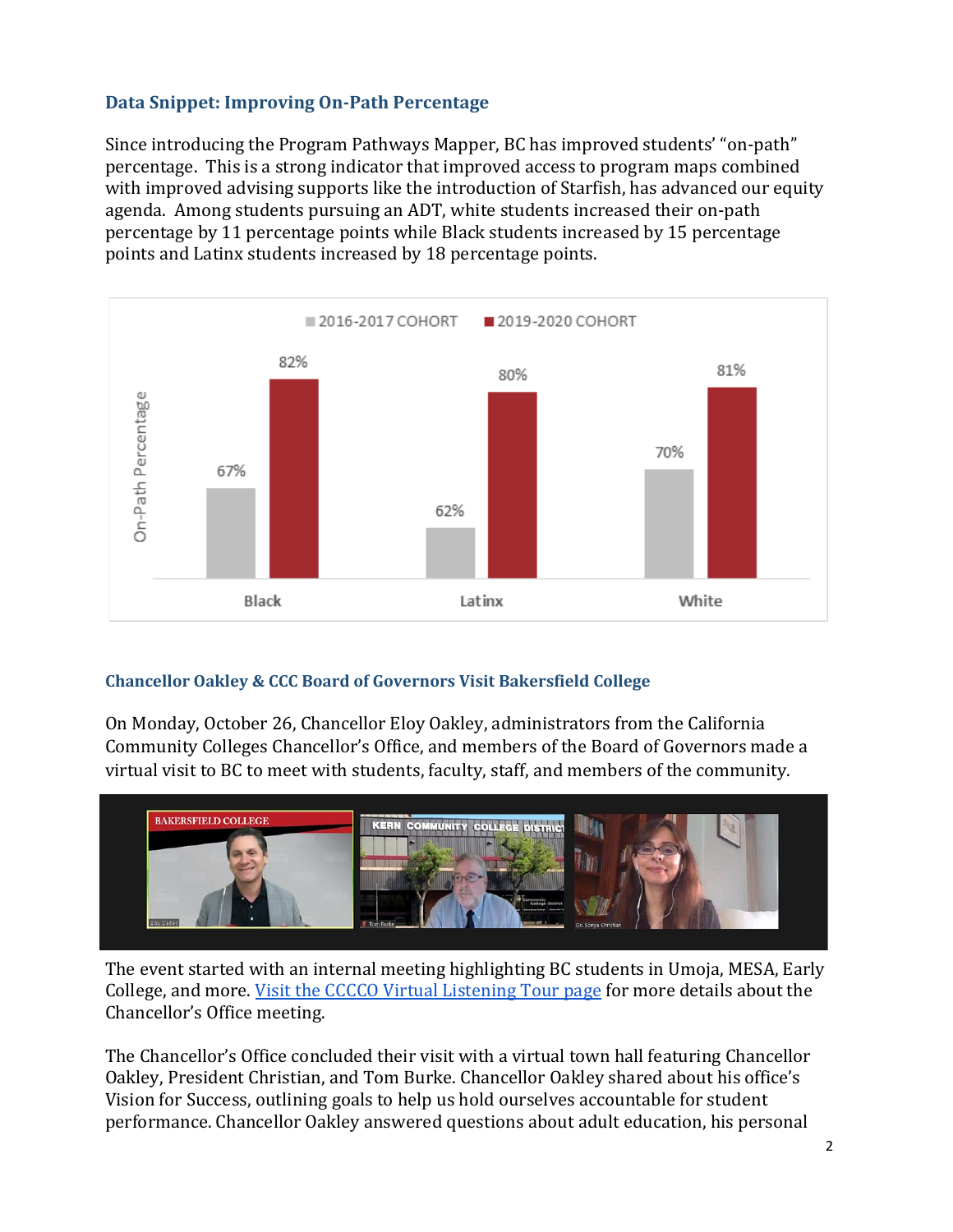# **Data Snippet: Improving On-Path Percentage**

Since introducing the Program Pathways Mapper, BC has improved students' "on-path" percentage. This is a strong indicator that improved access to program maps combined with improved advising supports like the introduction of Starfish, has advanced our equity agenda. Among students pursuing an ADT, white students increased their on-path percentage by 11 percentage points while Black students increased by 15 percentage points and Latinx students increased by 18 percentage points.



## **Chancellor Oakley & CCC Board of Governors Visit Bakersfield College**

On Monday, October 26, Chancellor Eloy Oakley, administrators from the California Community Colleges Chancellor's Office, and members of the Board of Governors made a virtual visit to BC to meet with students, faculty, staff, and members of the community.



The event started with an internal meeting highlighting BC students in Umoja, MESA, Early College, and more. Visit the CCCCO Virtual Listening Tour page for more details about the Chancellor's Office meeting.

The Chancellor's Office concluded their visit with a virtual town hall featuring Chancellor Oakley, President Christian, and Tom Burke. Chancellor Oakley shared about his office's Vision for Success, outlining goals to help us hold ourselves accountable for student performance. Chancellor Oakley answered questions about adult education, his personal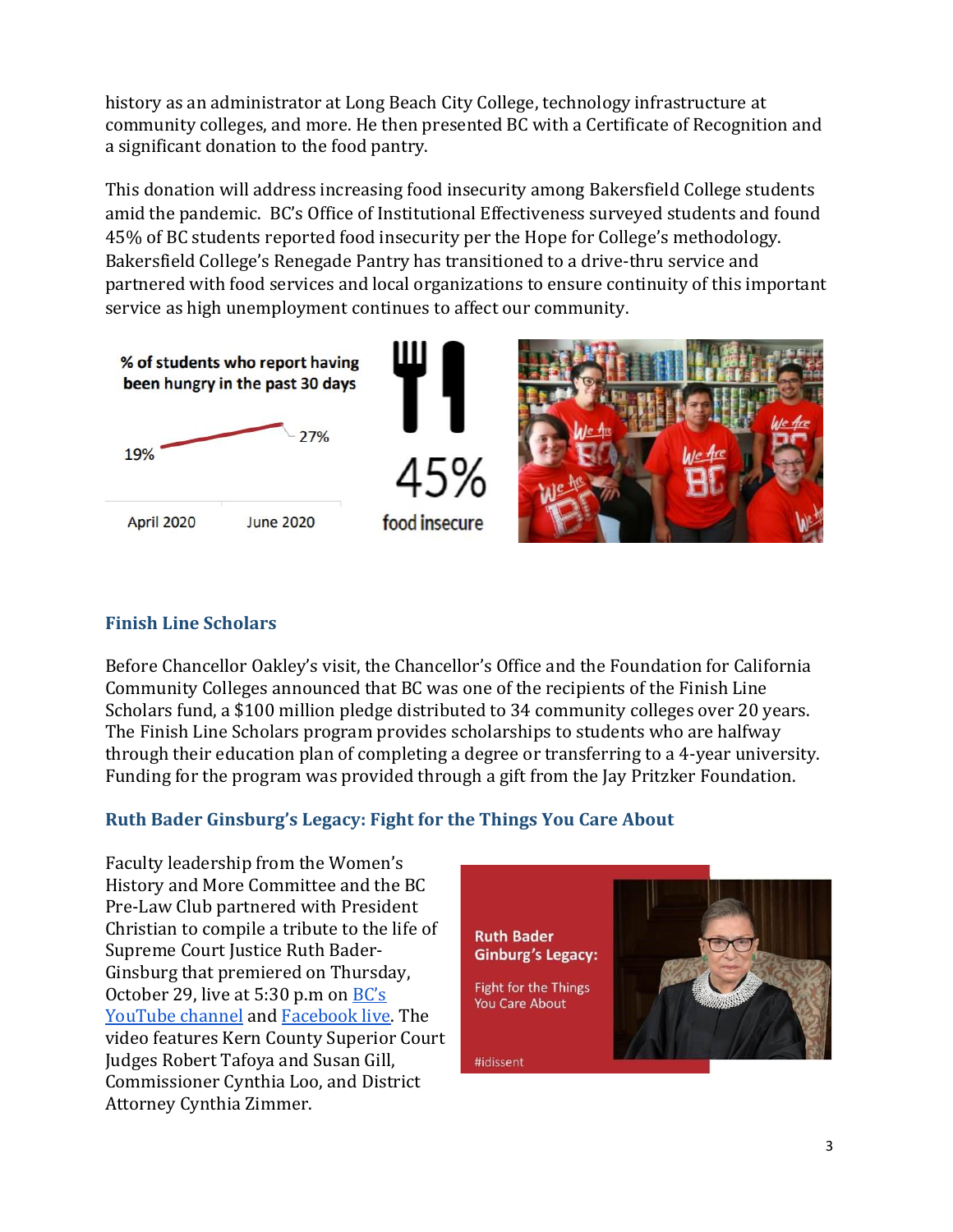history as an administrator at Long Beach City College, technology infrastructure at community colleges, and more. He then presented BC with a Certificate of Recognition and a significant donation to the food pantry.

This donation will address increasing food insecurity among Bakersfield College students amid the pandemic. BC's Office of Institutional Effectiveness surveyed students and found 45% of BC students reported food insecurity per the Hope for College's methodology. Bakersfield College's Renegade Pantry has transitioned to a drive-thru service and partnered with food services and local organizations to ensure continuity of this important service as high unemployment continues to affect our community.



# **Finish Line Scholars**

Before Chancellor Oakley's visit, the Chancellor's Office and the Foundation for California Community Colleges announced that BC was one of the recipients of the Finish Line Scholars fund, a \$100 million pledge distributed to 34 community colleges over 20 years. The Finish Line Scholars program provides scholarships to students who are halfway through their education plan of completing a degree or transferring to a 4-year university. Funding for the program was provided through a gift from the Jay Pritzker Foundation.

# **Ruth Bader Ginsburg's Legacy: Fight for the Things You Care About**

Faculty leadership from the Women's History and More Committee and the BC Pre-Law Club partnered with President Christian to compile a tribute to the life of Supreme Court Justice Ruth Bader-Ginsburg that premiered on Thursday, October 29, live at 5:30 p.m on  $BC's$ YouTube channel and Facebook live. The video features Kern County Superior Court Judges Robert Tafoya and Susan Gill, Commissioner Cynthia Loo, and District Attorney Cynthia Zimmer.

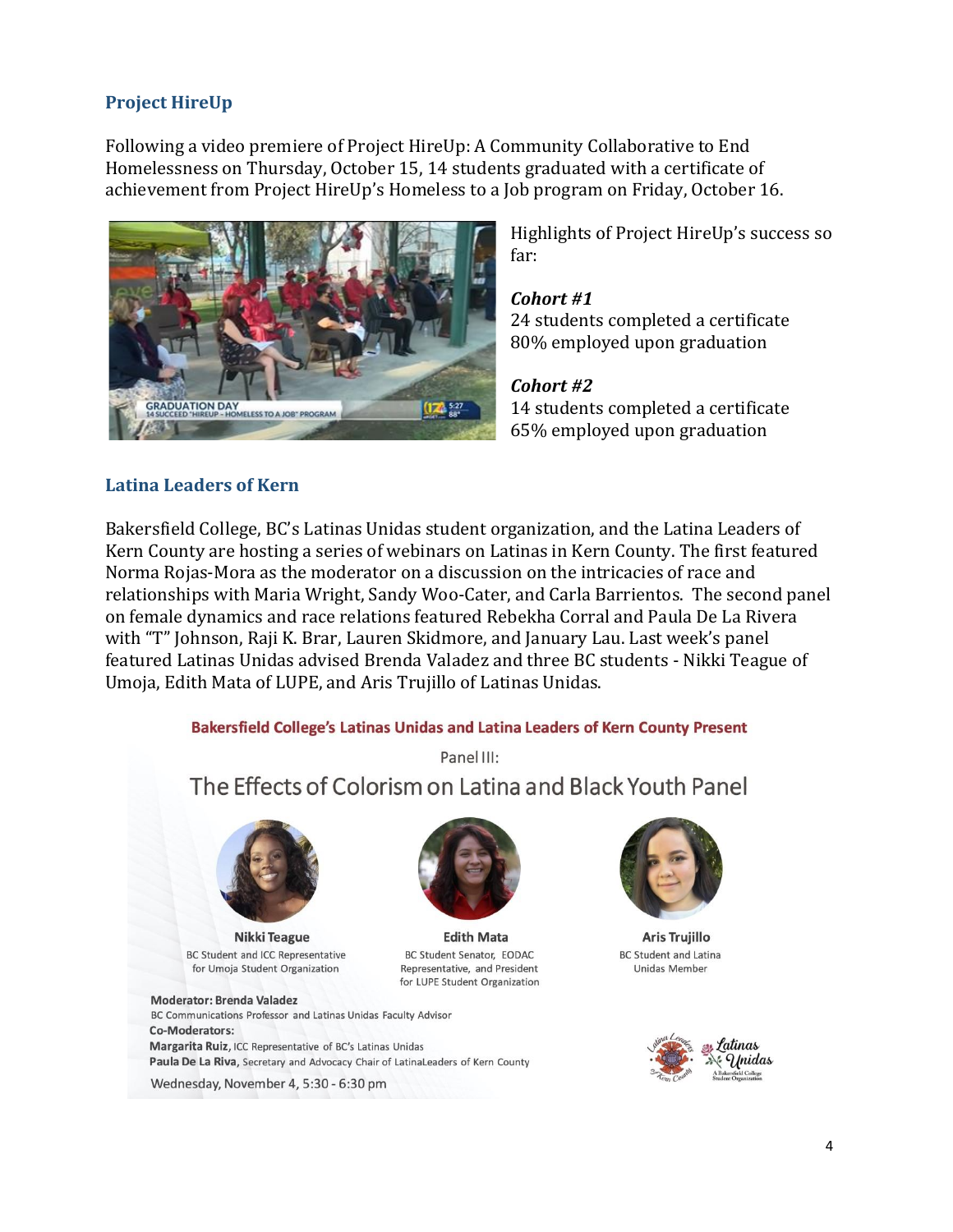# **Project HireUp**

Following a video premiere of Project HireUp: A Community Collaborative to End Homelessness on Thursday, October 15, 14 students graduated with a certificate of achievement from Project HireUp's Homeless to a Job program on Friday, October 16.



Highlights of Project HireUp's success so far:

#### *Cohort #1*

24 students completed a certificate 80% employed upon graduation

#### *Cohort #2*

14 students completed a certificate 65% employed upon graduation

### **Latina Leaders of Kern**

Bakersfield College, BC's Latinas Unidas student organization, and the Latina Leaders of Kern County are hosting a series of webinars on Latinas in Kern County. The first featured Norma Rojas-Mora as the moderator on a discussion on the intricacies of race and relationships with Maria Wright, Sandy Woo-Cater, and Carla Barrientos. The second panel on female dynamics and race relations featured Rebekha Corral and Paula De La Rivera with "T" Johnson, Raji K. Brar, Lauren Skidmore, and January Lau. Last week's panel featured Latinas Unidas advised Brenda Valadez and three BC students - Nikki Teague of Umoja, Edith Mata of LUPE, and Aris Trujillo of Latinas Unidas.

#### Bakersfield College's Latinas Unidas and Latina Leaders of Kern County Present

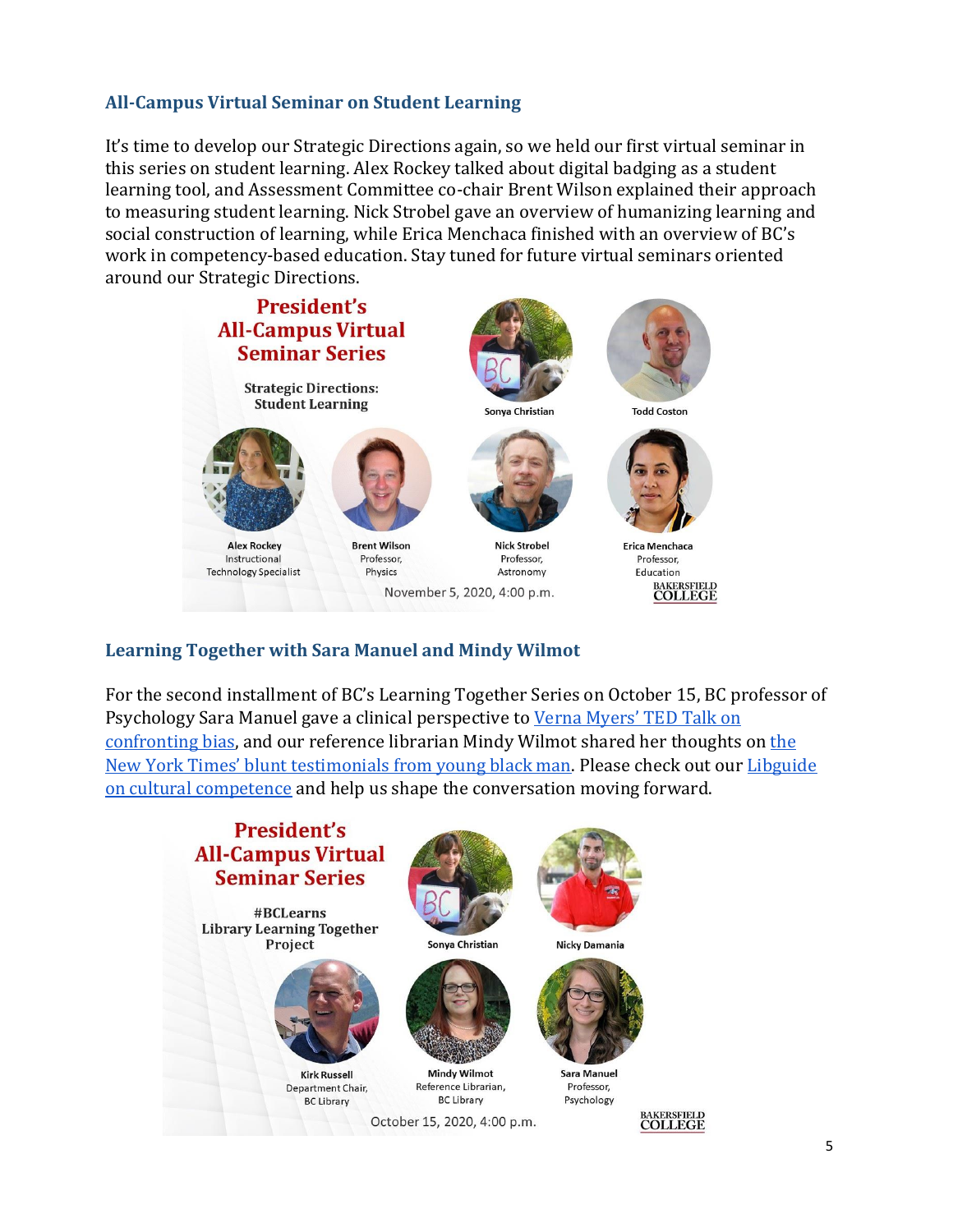## **All-Campus Virtual Seminar on Student Learning**

It's time to develop our Strategic Directions again, so we held our first virtual seminar in this series on student learning. Alex Rockey talked about digital badging as a student learning tool, and Assessment Committee co-chair Brent Wilson explained their approach to measuring student learning. Nick Strobel gave an overview of humanizing learning and social construction of learning, while Erica Menchaca finished with an overview of BC's work in competency-based education. Stay tuned for future virtual seminars oriented around our Strategic Directions.



# **Learning Together with Sara Manuel and Mindy Wilmot**

For the second installment of BC's Learning Together Series on October 15, BC professor of Psychology Sara Manuel gave a clinical perspective to Verna Myers' TED Talk on confronting bias, and our reference librarian Mindy Wilmot shared her thoughts on the New York Times' blunt testimonials from young black man. Please check out our Libguide on cultural competence and help us shape the conversation moving forward.